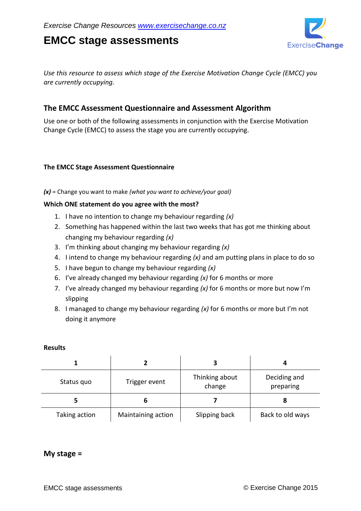# **EMCC stage assessments**



*Use this resource to assess which stage of the Exercise Motivation Change Cycle (EMCC) you are currently occupying.*

## **The EMCC Assessment Questionnaire and Assessment Algorithm**

Use one or both of the following assessments in conjunction with the Exercise Motivation Change Cycle (EMCC) to assess the stage you are currently occupying.

#### **The EMCC Stage Assessment Questionnaire**

*(x)* = Change you want to make *(what you want to achieve/your goal)*

#### **Which ONE statement do you agree with the most?**

- 1. I have no intention to change my behaviour regarding *(x)*
- 2. Something has happened within the last two weeks that has got me thinking about changing my behaviour regarding *(x)*
- 3. I'm thinking about changing my behaviour regarding *(x)*
- 4. I intend to change my behaviour regarding *(x)* and am putting plans in place to do so
- 5. I have begun to change my behaviour regarding *(x)*
- 6. I've already changed my behaviour regarding *(x)* for 6 months or more
- 7. I've already changed my behaviour regarding *(x)* for 6 months or more but now I'm slipping
- 8. I managed to change my behaviour regarding *(x)* for 6 months or more but I'm not doing it anymore

#### **Results**

| Status quo    | Trigger event      | Thinking about<br>change | Deciding and<br>preparing |  |
|---------------|--------------------|--------------------------|---------------------------|--|
|               | ь                  |                          |                           |  |
| Taking action | Maintaining action | Slipping back            | Back to old ways          |  |

### **My stage =**